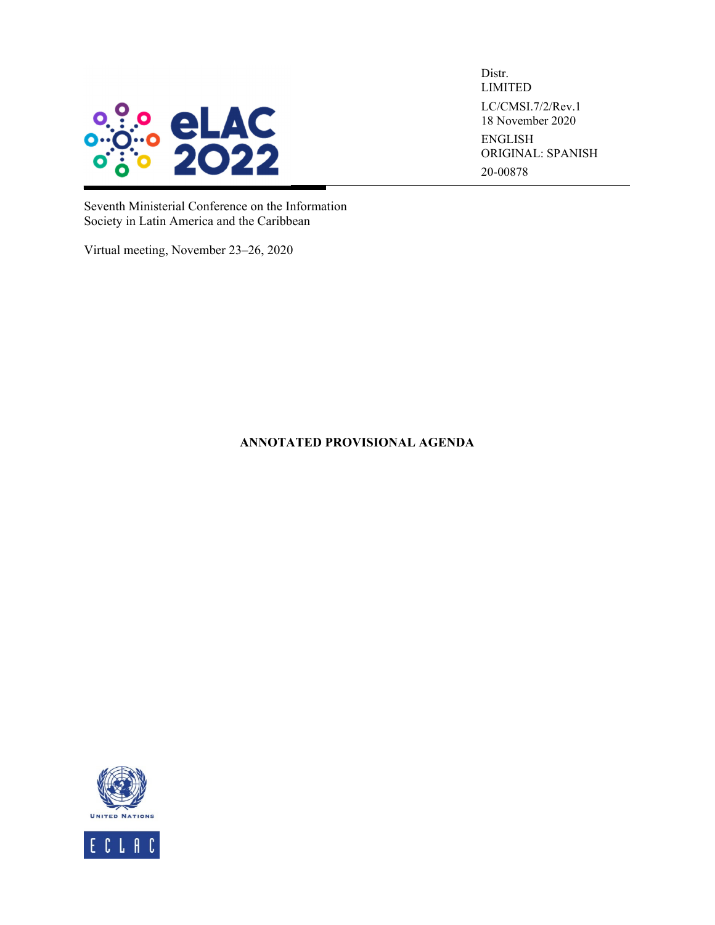

Distr. LIMITED LC/CMSI.7/2/Rev.1 18 November 2020 ENGLISH ORIGINAL: SPANISH 20-00878

Seventh Ministerial Conference on the Information Society in Latin America and the Caribbean

Virtual meeting, November 23–26, 2020

**ANNOTATED PROVISIONAL AGENDA** 

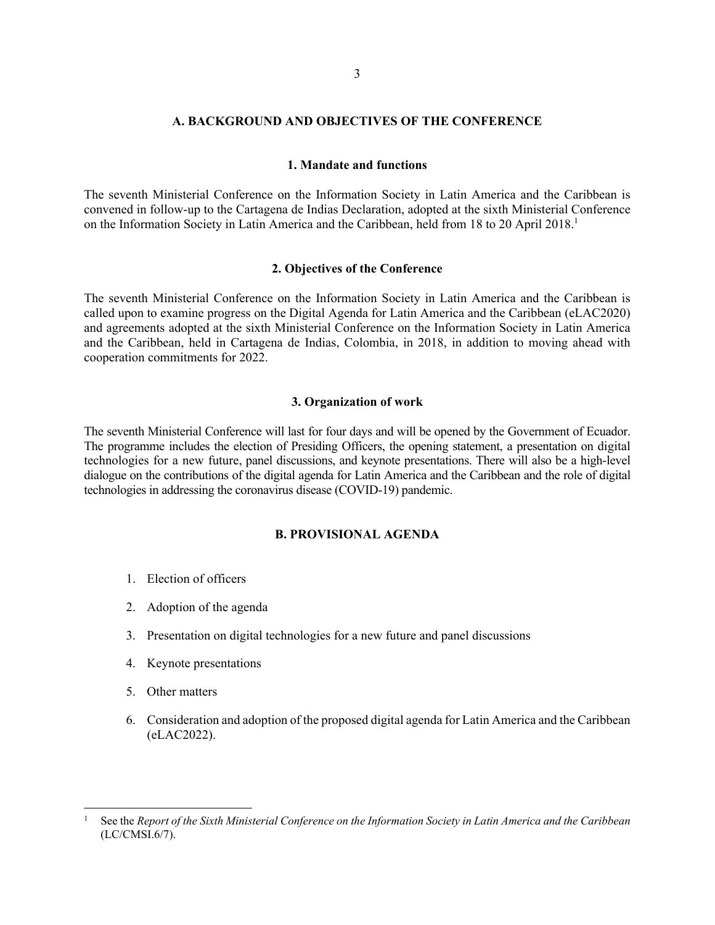### **A. BACKGROUND AND OBJECTIVES OF THE CONFERENCE**

#### **1. Mandate and functions**

The seventh Ministerial Conference on the Information Society in Latin America and the Caribbean is convened in follow-up to the Cartagena de Indias Declaration, adopted at the sixth Ministerial Conference on the Information Society in Latin America and the Caribbean, held from 18 to 20 April 2018.<sup>1</sup>

### **2. Objectives of the Conference**

The seventh Ministerial Conference on the Information Society in Latin America and the Caribbean is called upon to examine progress on the Digital Agenda for Latin America and the Caribbean (eLAC2020) and agreements adopted at the sixth Ministerial Conference on the Information Society in Latin America and the Caribbean, held in Cartagena de Indias, Colombia, in 2018, in addition to moving ahead with cooperation commitments for 2022.

#### **3. Organization of work**

The seventh Ministerial Conference will last for four days and will be opened by the Government of Ecuador. The programme includes the election of Presiding Officers, the opening statement, a presentation on digital technologies for a new future, panel discussions, and keynote presentations. There will also be a high-level dialogue on the contributions of the digital agenda for Latin America and the Caribbean and the role of digital technologies in addressing the coronavirus disease (COVID-19) pandemic.

## **B. PROVISIONAL AGENDA**

- 1. Election of officers
- 2. Adoption of the agenda
- 3. Presentation on digital technologies for a new future and panel discussions
- 4. Keynote presentations
- 5. Other matters
- 6. Consideration and adoption of the proposed digital agenda for Latin America and the Caribbean (eLAC2022).

<sup>1</sup> See the *Report of the Sixth Ministerial Conference on the Information Society in Latin America and the Caribbean* (LC/CMSI.6/7).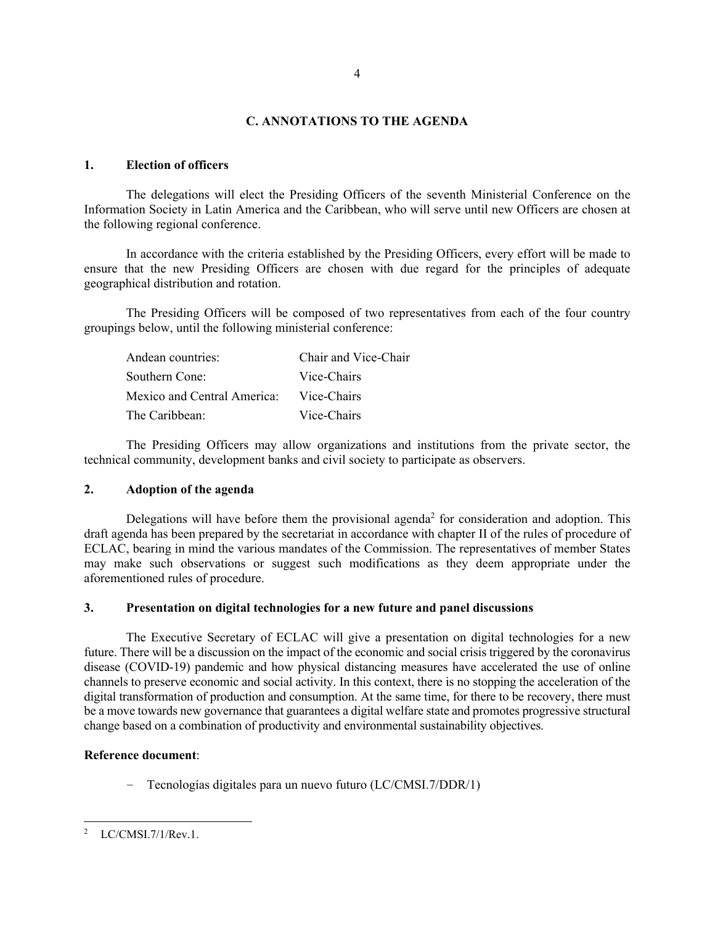### **C. ANNOTATIONS TO THE AGENDA**

### **1. Election of officers**

The delegations will elect the Presiding Officers of the seventh Ministerial Conference on the Information Society in Latin America and the Caribbean, who will serve until new Officers are chosen at the following regional conference.

In accordance with the criteria established by the Presiding Officers, every effort will be made to ensure that the new Presiding Officers are chosen with due regard for the principles of adequate geographical distribution and rotation.

The Presiding Officers will be composed of two representatives from each of the four country groupings below, until the following ministerial conference:

| Andean countries:           | Chair and Vice-Chair |
|-----------------------------|----------------------|
| Southern Cone:              | Vice-Chairs          |
| Mexico and Central America: | Vice-Chairs          |
| The Caribbean:              | Vice-Chairs          |

The Presiding Officers may allow organizations and institutions from the private sector, the technical community, development banks and civil society to participate as observers.

## **2. Adoption of the agenda**

Delegations will have before them the provisional agenda<sup>2</sup> for consideration and adoption. This draft agenda has been prepared by the secretariat in accordance with chapter II of the rules of procedure of ECLAC, bearing in mind the various mandates of the Commission. The representatives of member States may make such observations or suggest such modifications as they deem appropriate under the aforementioned rules of procedure.

### **3. Presentation on digital technologies for a new future and panel discussions**

The Executive Secretary of ECLAC will give a presentation on digital technologies for a new future. There will be a discussion on the impact of the economic and social crisis triggered by the coronavirus disease (COVID-19) pandemic and how physical distancing measures have accelerated the use of online channels to preserve economic and social activity. In this context, there is no stopping the acceleration of the digital transformation of production and consumption. At the same time, for there to be recovery, there must be a move towards new governance that guarantees a digital welfare state and promotes progressive structural change based on a combination of productivity and environmental sustainability objectives.

### **Reference document**:

− Tecnologías digitales para un nuevo futuro (LC/CMSI.7/DDR/1)

<sup>2</sup> LC/CMSI.7/1/Rev.1.